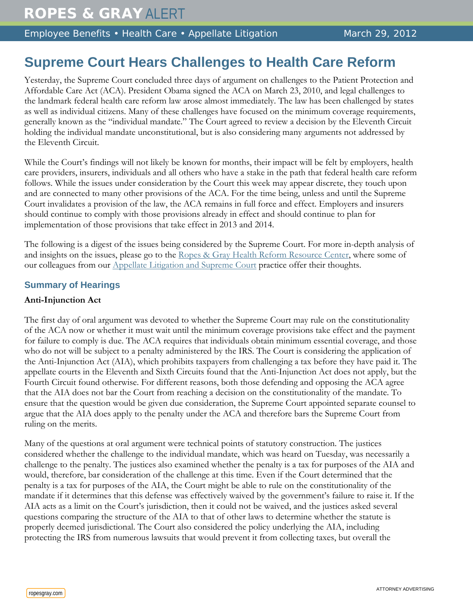Employee Benefits • Health Care • Appellate Litigation March 29, 2012

# **Supreme Court Hears Challenges to Health Care Reform**

Yesterday, the Supreme Court concluded three days of argument on challenges to the Patient Protection and Affordable Care Act (ACA). President Obama signed the ACA on March 23, 2010, and legal challenges to the landmark federal health care reform law arose almost immediately. The law has been challenged by states as well as individual citizens. Many of these challenges have focused on the minimum coverage requirements, generally known as the "individual mandate." The Court agreed to review a decision by the Eleventh Circuit holding the individual mandate unconstitutional, but is also considering many arguments not addressed by the Eleventh Circuit.

While the Court's findings will not likely be known for months, their impact will be felt by employers, health care providers, insurers, individuals and all others who have a stake in the path that federal health care reform follows. While the issues under consideration by the Court this week may appear discrete, they touch upon and are connected to many other provisions of the ACA. For the time being, unless and until the Supreme Court invalidates a provision of the law, the ACA remains in full force and effect. Employers and insurers should continue to comply with those provisions already in effect and should continue to plan for implementation of those provisions that take effect in 2013 and 2014.

The following is a digest of the issues being considered by the Supreme Court. For more in-depth analysis of and insights on the issues, please go to the [Ropes & Gray Health Reform Resource Center,](http://healthreformresourcecenter.ropesgray.com/) where some of our colleagues from our [Appellate Litigation and Supreme Court](http://www.ropesgray.com/appellate/) practice offer their thoughts.

## **Summary of Hearings**

### **Anti-Injunction Act**

The first day of oral argument was devoted to whether the Supreme Court may rule on the constitutionality of the ACA now or whether it must wait until the minimum coverage provisions take effect and the payment for failure to comply is due. The ACA requires that individuals obtain minimum essential coverage, and those who do not will be subject to a penalty administered by the IRS. The Court is considering the application of the Anti-Injunction Act (AIA), which prohibits taxpayers from challenging a tax before they have paid it. The appellate courts in the Eleventh and Sixth Circuits found that the Anti-Injunction Act does not apply, but the Fourth Circuit found otherwise. For different reasons, both those defending and opposing the ACA agree that the AIA does not bar the Court from reaching a decision on the constitutionality of the mandate. To ensure that the question would be given due consideration, the Supreme Court appointed separate counsel to argue that the AIA does apply to the penalty under the ACA and therefore bars the Supreme Court from ruling on the merits.

Many of the questions at oral argument were technical points of statutory construction. The justices considered whether the challenge to the individual mandate, which was heard on Tuesday, was necessarily a challenge to the penalty. The justices also examined whether the penalty is a tax for purposes of the AIA and would, therefore, bar consideration of the challenge at this time. Even if the Court determined that the penalty is a tax for purposes of the AIA, the Court might be able to rule on the constitutionality of the mandate if it determines that this defense was effectively waived by the government's failure to raise it. If the AIA acts as a limit on the Court's jurisdiction, then it could not be waived, and the justices asked several questions comparing the structure of the AIA to that of other laws to determine whether the statute is properly deemed jurisdictional. The Court also considered the policy underlying the AIA, including protecting the IRS from numerous lawsuits that would prevent it from collecting taxes, but overall the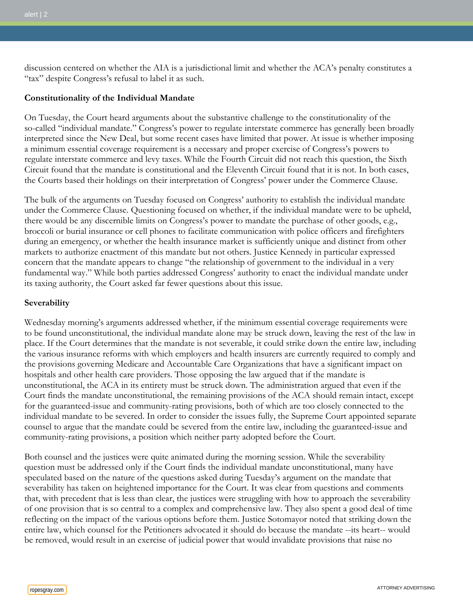discussion centered on whether the AIA is a jurisdictional limit and whether the ACA's penalty constitutes a "tax" despite Congress's refusal to label it as such.

#### **Constitutionality of the Individual Mandate**

On Tuesday, the Court heard arguments about the substantive challenge to the constitutionality of the so-called "individual mandate." Congress's power to regulate interstate commerce has generally been broadly interpreted since the New Deal, but some recent cases have limited that power. At issue is whether imposing a minimum essential coverage requirement is a necessary and proper exercise of Congress's powers to regulate interstate commerce and levy taxes. While the Fourth Circuit did not reach this question, the Sixth Circuit found that the mandate is constitutional and the Eleventh Circuit found that it is not. In both cases, the Courts based their holdings on their interpretation of Congress' power under the Commerce Clause.

The bulk of the arguments on Tuesday focused on Congress' authority to establish the individual mandate under the Commerce Clause. Questioning focused on whether, if the individual mandate were to be upheld, there would be any discernible limits on Congress's power to mandate the purchase of other goods, e.g., broccoli or burial insurance or cell phones to facilitate communication with police officers and firefighters during an emergency, or whether the health insurance market is sufficiently unique and distinct from other markets to authorize enactment of this mandate but not others. Justice Kennedy in particular expressed concern that the mandate appears to change "the relationship of government to the individual in a very fundamental way." While both parties addressed Congress' authority to enact the individual mandate under its taxing authority, the Court asked far fewer questions about this issue.

#### **Severability**

Wednesday morning's arguments addressed whether, if the minimum essential coverage requirements were to be found unconstitutional, the individual mandate alone may be struck down, leaving the rest of the law in place. If the Court determines that the mandate is not severable, it could strike down the entire law, including the various insurance reforms with which employers and health insurers are currently required to comply and the provisions governing Medicare and Accountable Care Organizations that have a significant impact on hospitals and other health care providers. Those opposing the law argued that if the mandate is unconstitutional, the ACA in its entirety must be struck down. The administration argued that even if the Court finds the mandate unconstitutional, the remaining provisions of the ACA should remain intact, except for the guaranteed-issue and community-rating provisions, both of which are too closely connected to the individual mandate to be severed. In order to consider the issues fully, the Supreme Court appointed separate counsel to argue that the mandate could be severed from the entire law, including the guaranteed-issue and community-rating provisions, a position which neither party adopted before the Court.

Both counsel and the justices were quite animated during the morning session. While the severability question must be addressed only if the Court finds the individual mandate unconstitutional, many have speculated based on the nature of the questions asked during Tuesday's argument on the mandate that severability has taken on heightened importance for the Court. It was clear from questions and comments that, with precedent that is less than clear, the justices were struggling with how to approach the severability of one provision that is so central to a complex and comprehensive law. They also spent a good deal of time reflecting on the impact of the various options before them. Justice Sotomayor noted that striking down the entire law, which counsel for the Petitioners advocated it should do because the mandate --its heart-- would be removed, would result in an exercise of judicial power that would invalidate provisions that raise no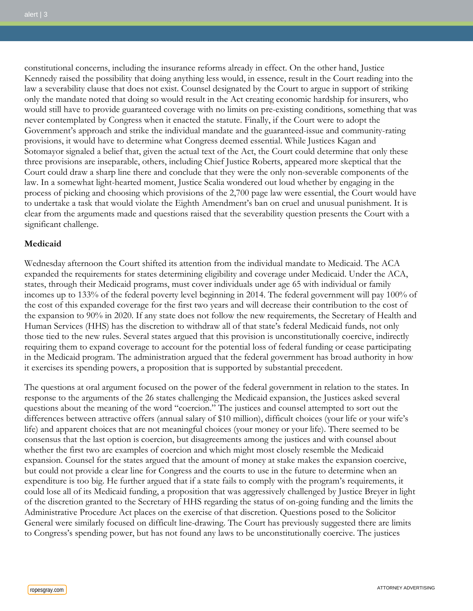constitutional concerns, including the insurance reforms already in effect. On the other hand, Justice Kennedy raised the possibility that doing anything less would, in essence, result in the Court reading into the law a severability clause that does not exist. Counsel designated by the Court to argue in support of striking only the mandate noted that doing so would result in the Act creating economic hardship for insurers, who would still have to provide guaranteed coverage with no limits on pre-existing conditions, something that was never contemplated by Congress when it enacted the statute. Finally, if the Court were to adopt the Government's approach and strike the individual mandate and the guaranteed-issue and community-rating provisions, it would have to determine what Congress deemed essential. While Justices Kagan and Sotomayor signaled a belief that, given the actual text of the Act, the Court could determine that only these three provisions are inseparable, others, including Chief Justice Roberts, appeared more skeptical that the Court could draw a sharp line there and conclude that they were the only non-severable components of the law. In a somewhat light-hearted moment, Justice Scalia wondered out loud whether by engaging in the process of picking and choosing which provisions of the 2,700 page law were essential, the Court would have to undertake a task that would violate the Eighth Amendment's ban on cruel and unusual punishment. It is clear from the arguments made and questions raised that the severability question presents the Court with a significant challenge.

#### **Medicaid**

Wednesday afternoon the Court shifted its attention from the individual mandate to Medicaid. The ACA expanded the requirements for states determining eligibility and coverage under Medicaid. Under the ACA, states, through their Medicaid programs, must cover individuals under age 65 with individual or family incomes up to 133% of the federal poverty level beginning in 2014. The federal government will pay 100% of the cost of this expanded coverage for the first two years and will decrease their contribution to the cost of the expansion to 90% in 2020. If any state does not follow the new requirements, the Secretary of Health and Human Services (HHS) has the discretion to withdraw all of that state's federal Medicaid funds, not only those tied to the new rules. Several states argued that this provision is unconstitutionally coercive, indirectly requiring them to expand coverage to account for the potential loss of federal funding or cease participating in the Medicaid program. The administration argued that the federal government has broad authority in how it exercises its spending powers, a proposition that is supported by substantial precedent.

The questions at oral argument focused on the power of the federal government in relation to the states. In response to the arguments of the 26 states challenging the Medicaid expansion, the Justices asked several questions about the meaning of the word "coercion." The justices and counsel attempted to sort out the differences between attractive offers (annual salary of \$10 million), difficult choices (your life or your wife's life) and apparent choices that are not meaningful choices (your money or your life). There seemed to be consensus that the last option is coercion, but disagreements among the justices and with counsel about whether the first two are examples of coercion and which might most closely resemble the Medicaid expansion. Counsel for the states argued that the amount of money at stake makes the expansion coercive, but could not provide a clear line for Congress and the courts to use in the future to determine when an expenditure is too big. He further argued that if a state fails to comply with the program's requirements, it could lose all of its Medicaid funding, a proposition that was aggressively challenged by Justice Breyer in light of the discretion granted to the Secretary of HHS regarding the status of on-going funding and the limits the Administrative Procedure Act places on the exercise of that discretion. Questions posed to the Solicitor General were similarly focused on difficult line-drawing. The Court has previously suggested there are limits to Congress's spending power, but has not found any laws to be unconstitutionally coercive. The justices